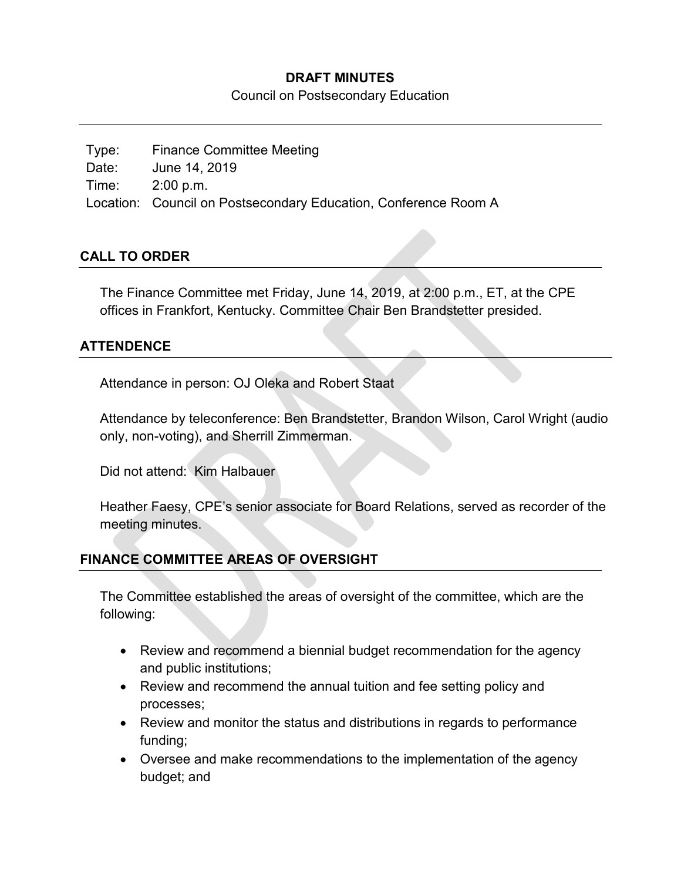#### **DRAFT MINUTES**

Council on Postsecondary Education

Type: Finance Committee Meeting Date: June 14, 2019 Time: 2:00 p.m. Location: Council on Postsecondary Education, Conference Room A

#### **CALL TO ORDER**

The Finance Committee met Friday, June 14, 2019, at 2:00 p.m., ET, at the CPE offices in Frankfort, Kentucky. Committee Chair Ben Brandstetter presided.

#### **ATTENDENCE**

Attendance in person: OJ Oleka and Robert Staat

Attendance by teleconference: Ben Brandstetter, Brandon Wilson, Carol Wright (audio only, non-voting), and Sherrill Zimmerman.

Did not attend: Kim Halbauer

Heather Faesy, CPE's senior associate for Board Relations, served as recorder of the meeting minutes.

#### **FINANCE COMMITTEE AREAS OF OVERSIGHT**

The Committee established the areas of oversight of the committee, which are the following:

- Review and recommend a biennial budget recommendation for the agency and public institutions;
- Review and recommend the annual tuition and fee setting policy and processes;
- Review and monitor the status and distributions in regards to performance funding;
- Oversee and make recommendations to the implementation of the agency budget; and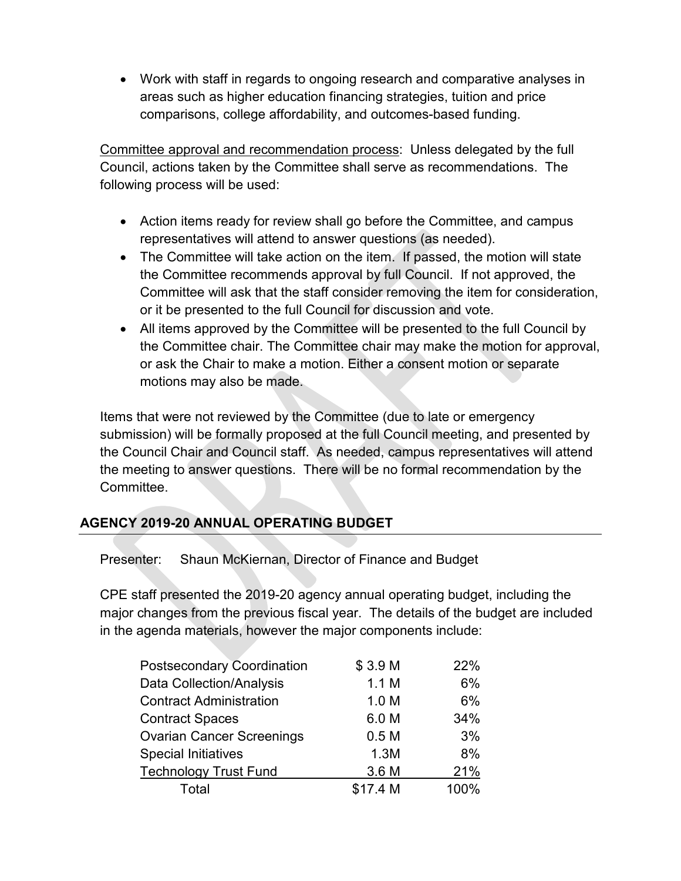• Work with staff in regards to ongoing research and comparative analyses in areas such as higher education financing strategies, tuition and price comparisons, college affordability, and outcomes-based funding.

Committee approval and recommendation process: Unless delegated by the full Council, actions taken by the Committee shall serve as recommendations. The following process will be used:

- Action items ready for review shall go before the Committee, and campus representatives will attend to answer questions (as needed).
- The Committee will take action on the item. If passed, the motion will state the Committee recommends approval by full Council. If not approved, the Committee will ask that the staff consider removing the item for consideration, or it be presented to the full Council for discussion and vote.
- All items approved by the Committee will be presented to the full Council by the Committee chair. The Committee chair may make the motion for approval, or ask the Chair to make a motion. Either a consent motion or separate motions may also be made.

Items that were not reviewed by the Committee (due to late or emergency submission) will be formally proposed at the full Council meeting, and presented by the Council Chair and Council staff. As needed, campus representatives will attend the meeting to answer questions. There will be no formal recommendation by the Committee.

# **AGENCY 2019-20 ANNUAL OPERATING BUDGET**

Presenter: Shaun McKiernan, Director of Finance and Budget

CPE staff presented the 2019-20 agency annual operating budget, including the major changes from the previous fiscal year. The details of the budget are included in the agenda materials, however the major components include:

| \$3.9 M          | 22%  |
|------------------|------|
| 1.1 M            | 6%   |
| 1.0 <sub>M</sub> | 6%   |
| 6.0 M            | 34%  |
| 0.5 <sub>M</sub> | 3%   |
| 1.3M             | 8%   |
| 3.6 M            | 21%  |
| \$17.4 M         | 100% |
|                  |      |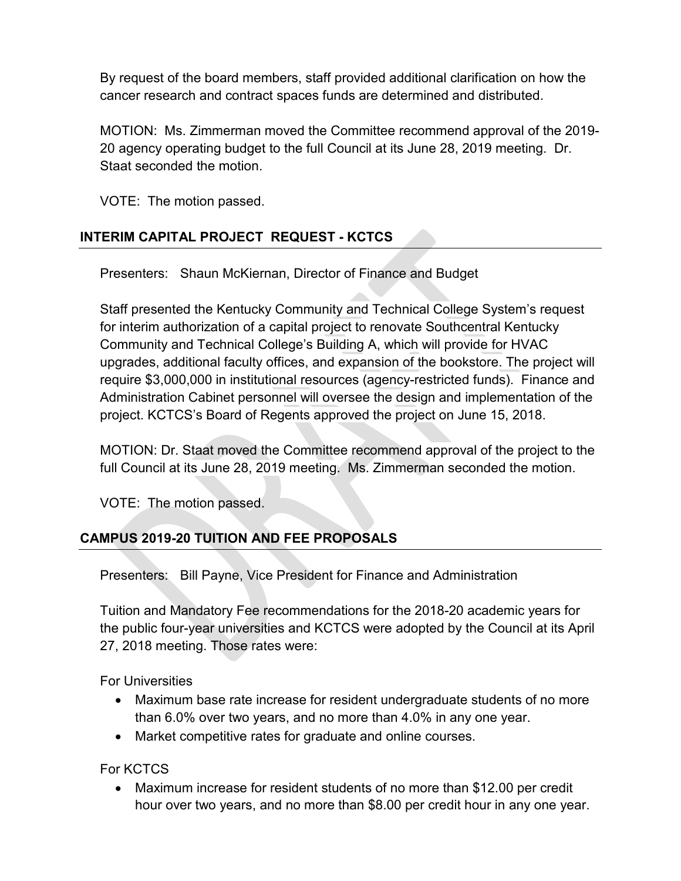By request of the board members, staff provided additional clarification on how the cancer research and contract spaces funds are determined and distributed.

MOTION: Ms. Zimmerman moved the Committee recommend approval of the 2019- 20 agency operating budget to the full Council at its June 28, 2019 meeting. Dr. Staat seconded the motion.

VOTE: The motion passed.

## **INTERIM CAPITAL PROJECT REQUEST - KCTCS**

Presenters: Shaun McKiernan, Director of Finance and Budget

Staff presented the Kentucky Community and Technical College System's request for interim authorization of a capital project to renovate Southcentral Kentucky Community and Technical College's Building A, which will provide for HVAC upgrades, additional faculty offices, and expansion of the bookstore. The project will require \$3,000,000 in institutional resources (agency-restricted funds). Finance and Administration Cabinet personnel will oversee the design and implementation of the project. KCTCS's Board of Regents approved the project on June 15, 2018.

MOTION: Dr. Staat moved the Committee recommend approval of the project to the full Council at its June 28, 2019 meeting. Ms. Zimmerman seconded the motion.

VOTE: The motion passed.

### **CAMPUS 2019-20 TUITION AND FEE PROPOSALS**

Presenters: Bill Payne, Vice President for Finance and Administration

Tuition and Mandatory Fee recommendations for the 2018-20 academic years for the public four-year universities and KCTCS were adopted by the Council at its April 27, 2018 meeting. Those rates were:

For Universities

- Maximum base rate increase for resident undergraduate students of no more than 6.0% over two years, and no more than 4.0% in any one year.
- Market competitive rates for graduate and online courses.

For KCTCS

• Maximum increase for resident students of no more than \$12.00 per credit hour over two years, and no more than \$8.00 per credit hour in any one year.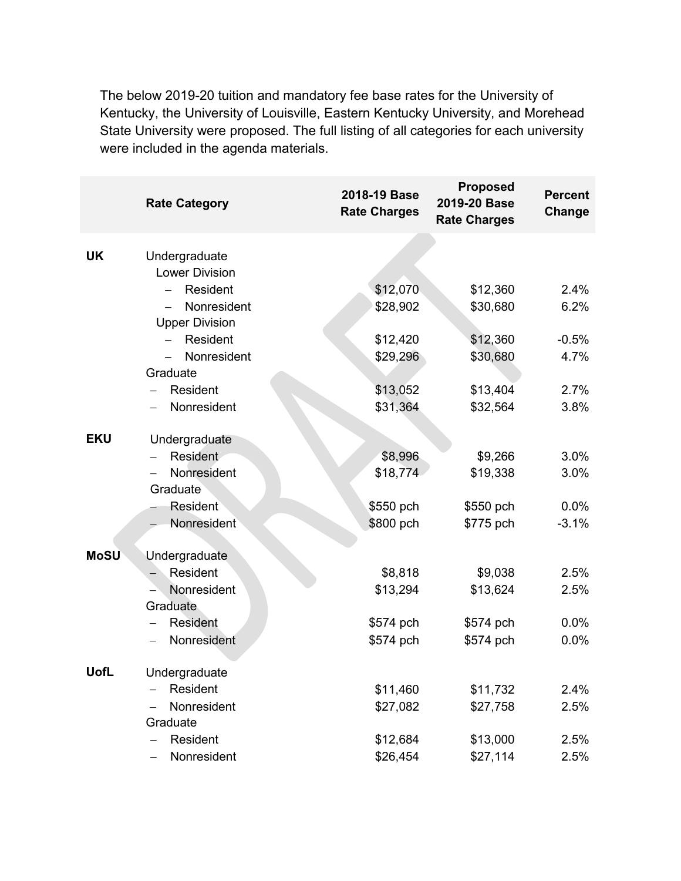The below 2019-20 tuition and mandatory fee base rates for the University of Kentucky, the University of Louisville, Eastern Kentucky University, and Morehead State University were proposed. The full listing of all categories for each university were included in the agenda materials.

|             | <b>Rate Category</b>      | 2018-19 Base<br><b>Rate Charges</b> | <b>Proposed</b><br>2019-20 Base<br><b>Rate Charges</b> | <b>Percent</b><br>Change |
|-------------|---------------------------|-------------------------------------|--------------------------------------------------------|--------------------------|
| <b>UK</b>   | Undergraduate             |                                     |                                                        |                          |
|             | <b>Lower Division</b>     |                                     |                                                        |                          |
|             | Resident                  | \$12,070                            | \$12,360                                               | 2.4%                     |
|             | Nonresident               | \$28,902                            | \$30,680                                               | 6.2%                     |
|             | <b>Upper Division</b>     |                                     |                                                        |                          |
|             | Resident                  | \$12,420                            | \$12,360                                               | $-0.5%$                  |
|             | Nonresident               | \$29,296                            | \$30,680                                               | 4.7%                     |
|             | Graduate                  |                                     |                                                        |                          |
|             | Resident                  | \$13,052                            | \$13,404                                               | 2.7%                     |
|             | Nonresident               | \$31,364                            | \$32,564                                               | 3.8%                     |
| <b>EKU</b>  | Undergraduate             |                                     |                                                        |                          |
|             | Resident                  | \$8,996                             | \$9,266                                                | 3.0%                     |
|             | Nonresident               | \$18,774                            | \$19,338                                               | 3.0%                     |
|             | Graduate                  |                                     |                                                        |                          |
|             | Resident                  | \$550 pch                           | \$550 pch                                              | 0.0%                     |
|             | Nonresident               | \$800 pch                           | \$775 pch                                              | $-3.1%$                  |
| <b>MoSU</b> | Undergraduate             |                                     |                                                        |                          |
|             | Resident                  | \$8,818                             | \$9,038                                                | 2.5%                     |
|             | Nonresident               | \$13,294                            | \$13,624                                               | 2.5%                     |
|             | Graduate                  |                                     |                                                        |                          |
|             | <b>Resident</b>           | \$574 pch                           | \$574 pch                                              | 0.0%                     |
|             | Nonresident               | \$574 pch                           | \$574 pch                                              | 0.0%                     |
|             |                           |                                     |                                                        |                          |
| <b>UofL</b> | Undergraduate<br>Resident |                                     |                                                        |                          |
|             | Nonresident               | \$11,460                            | \$11,732                                               | 2.4%                     |
|             | Graduate                  | \$27,082                            | \$27,758                                               | 2.5%                     |
|             | Resident                  | \$12,684                            | \$13,000                                               | 2.5%                     |
|             | Nonresident               | \$26,454                            | \$27,114                                               | 2.5%                     |
|             |                           |                                     |                                                        |                          |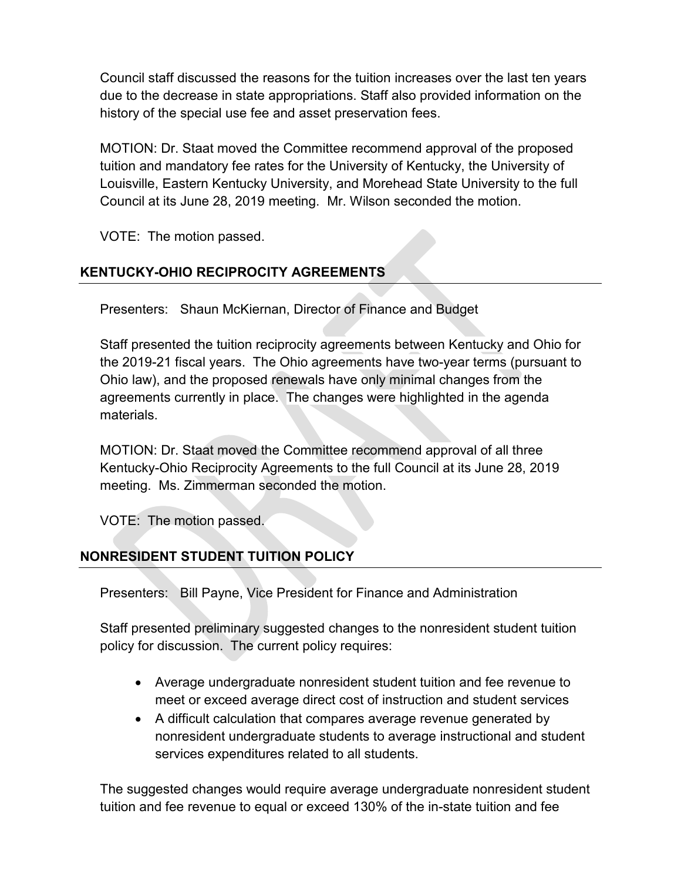Council staff discussed the reasons for the tuition increases over the last ten years due to the decrease in state appropriations. Staff also provided information on the history of the special use fee and asset preservation fees.

MOTION: Dr. Staat moved the Committee recommend approval of the proposed tuition and mandatory fee rates for the University of Kentucky, the University of Louisville, Eastern Kentucky University, and Morehead State University to the full Council at its June 28, 2019 meeting. Mr. Wilson seconded the motion.

VOTE: The motion passed.

## **KENTUCKY-OHIO RECIPROCITY AGREEMENTS**

Presenters: Shaun McKiernan, Director of Finance and Budget

Staff presented the tuition reciprocity agreements between Kentucky and Ohio for the 2019-21 fiscal years. The Ohio agreements have two-year terms (pursuant to Ohio law), and the proposed renewals have only minimal changes from the agreements currently in place. The changes were highlighted in the agenda materials.

MOTION: Dr. Staat moved the Committee recommend approval of all three Kentucky-Ohio Reciprocity Agreements to the full Council at its June 28, 2019 meeting. Ms. Zimmerman seconded the motion.

VOTE: The motion passed.

# **NONRESIDENT STUDENT TUITION POLICY**

Presenters: Bill Payne, Vice President for Finance and Administration

Staff presented preliminary suggested changes to the nonresident student tuition policy for discussion. The current policy requires:

- Average undergraduate nonresident student tuition and fee revenue to meet or exceed average direct cost of instruction and student services
- A difficult calculation that compares average revenue generated by nonresident undergraduate students to average instructional and student services expenditures related to all students.

The suggested changes would require average undergraduate nonresident student tuition and fee revenue to equal or exceed 130% of the in-state tuition and fee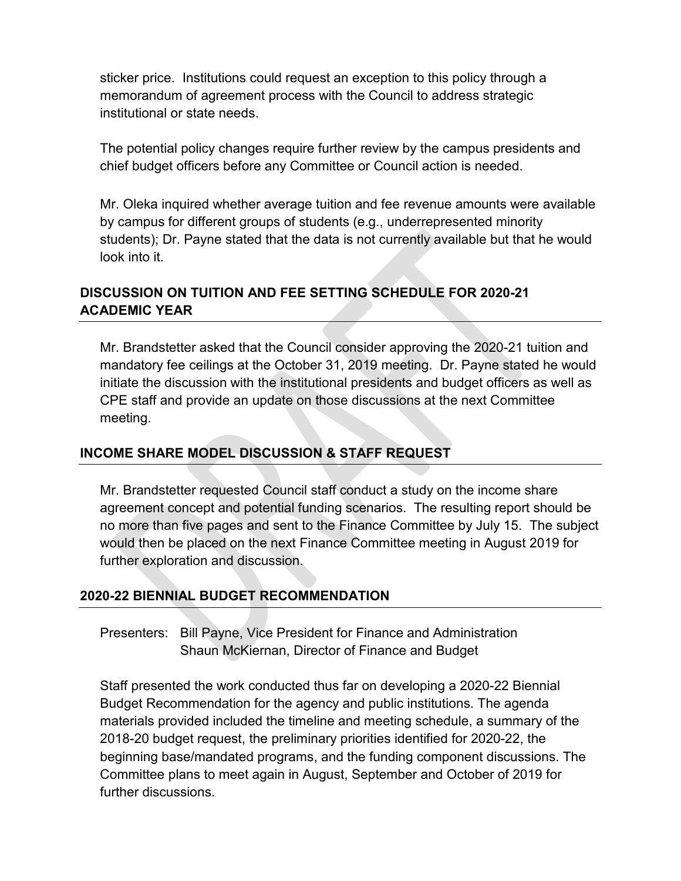sticker price. Institutions could request an exception to this policy through a memorandum of agreement process with the Council to address strategic institutional or state needs.

The potential policy changes require further review by the campus presidents and chief budget officers before any Committee or Council action is needed.

Mr. Oleka inquired whether average tuition and fee revenue amounts were available by campus for different groups of students (e.g., underrepresented minority students); Dr. Payne stated that the data is not currently available but that he would look into it.

### **DISCUSSION ON TUITION AND FEE SETTING SCHEDULE FOR 2020-21 ACADEMIC YEAR**

Mr. Brandstetter asked that the Council consider approving the 2020-21 tuition and mandatory fee ceilings at the October 31, 2019 meeting. Dr. Payne stated he would initiate the discussion with the institutional presidents and budget officers as well as CPE staff and provide an update on those discussions at the next Committee meeting.

#### **INCOME SHARE MODEL DISCUSSION & STAFF REQUEST**

Mr. Brandstetter requested Council staff conduct a study on the income share agreement concept and potential funding scenarios. The resulting report should be no more than five pages and sent to the Finance Committee by July 15. The subject would then be placed on the next Finance Committee meeting in August 2019 for further exploration and discussion.

### **2020-22 BIENNIAL BUDGET RECOMMENDATION**

Presenters: Bill Payne, Vice President for Finance and Administration Shaun McKiernan, Director of Finance and Budget

Staff presented the work conducted thus far on developing a 2020-22 Biennial Budget Recommendation for the agency and public institutions. The agenda materials provided included the timeline and meeting schedule, a summary of the 2018-20 budget request, the preliminary priorities identified for 2020-22, the beginning base/mandated programs, and the funding component discussions. The Committee plans to meet again in August, September and October of 2019 for further discussions.